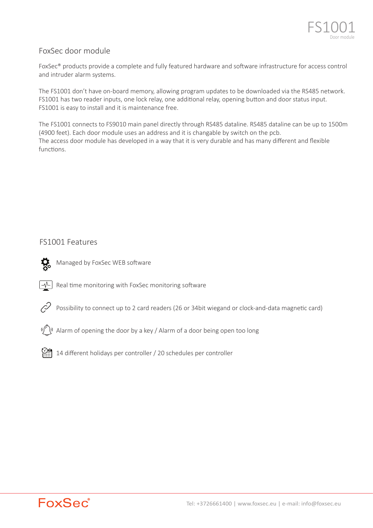# FoxSec door module

FoxSec® products provide a complete and fully featured hardware and so�ware infrastructure for access control and intruder alarm systems.

The FS1001 don't have on-board memory, allowing program updates to be downloaded via the RS485 network. FS1001 has two reader inputs, one lock relay, one additional relay, opening button and door status input. FS1001 is easy to install and it is maintenance free.

The FS1001 connects to FS9010 main panel directly through RS485 dataline. RS485 dataline can be up to 1500m (4900 feet). Each door module uses an address and it is changable by switch on the pcb. The access door module has developed in a way that it is very durable and has many different and flexible functions

# FS1001 Features

- 
- Managed by FoxSec WEB software
- Real time monitoring with FoxSec monitoring software
- 79 Possibility to connect up to 2 card readers (26 or 34bit wiegand or clock-and-data magnetic card)
- Alarm of opening the door by a key / Alarm of a door being open too long
- $\sum_{i=1}^{14}$  14 different holidays per controller / 20 schedules per controller